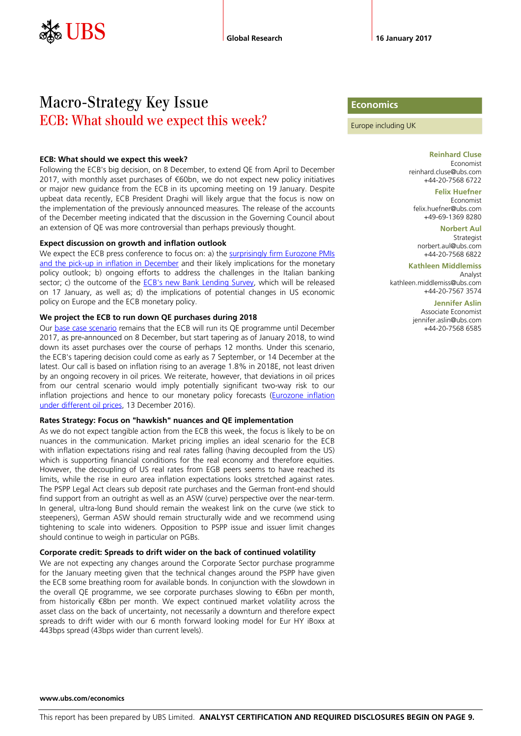# Macro-Strategy Key Issue ECB: What should we expect this week?

#### **ECB: What should we expect this week?**

Following the ECB's big decision, on 8 December, to extend QE from April to December 2017, with monthly asset purchases of €60bn, we do not expect new policy initiatives or major new guidance from the ECB in its upcoming meeting on 19 January. Despite upbeat data recently, ECB President Draghi will likely argue that the focus is now on the implementation of the previously announced measures. The release of the accounts of the December meeting indicated that the discussion in the Governing Council about an extension of QE was more controversial than perhaps previously thought.

#### **Expect discussion on growth and inflation outlook**

We expect the ECB press conference to focus on: a) the surprisingly firm Eurozone PMIs [and the pick-up in inflation in December](https://neo.ubs.com/shared/d1Mu9D5nzSf0) and their likely implications for the monetary policy outlook; b) ongoing efforts to address the challenges in the Italian banking sector; c) the outcome of the [ECB's new Bank Lending Survey,](https://neo.ubs.com/shared/d1ddyySnUof) which will be released on 17 January, as well as; d) the implications of potential changes in US economic policy on Europe and the ECB monetary policy.

#### **We project the ECB to run down QE purchases during 2018**

Our [base case scenario](https://neo.ubs.com/shared/d1CyBKAWGkUU2) remains that the ECB will run its QE programme until December 2017, as pre-announced on 8 December, but start tapering as of January 2018, to wind down its asset purchases over the course of perhaps 12 months. Under this scenario, the ECB's tapering decision could come as early as 7 September, or 14 December at the latest. Our call is based on inflation rising to an average 1.8% in 2018E, not least driven by an ongoing recovery in oil prices. We reiterate, however, that deviations in oil prices from our central scenario would imply potentially significant two-way risk to our inflation projections and hence to our monetary policy forecasts (Eurozone inflation [under different oil prices,](https://neo.ubs.com/shared/d1WMEKwB6G) 13 December 2016).

#### **Rates Strategy: Focus on "hawkish" nuances and QE implementation**

As we do not expect tangible action from the ECB this week, the focus is likely to be on nuances in the communication. Market pricing implies an ideal scenario for the ECB with inflation expectations rising and real rates falling (having decoupled from the US) which is supporting financial conditions for the real economy and therefore equities. However, the decoupling of US real rates from EGB peers seems to have reached its limits, while the rise in euro area inflation expectations looks stretched against rates. The PSPP Legal Act clears sub deposit rate purchases and the German front-end should find support from an outright as well as an ASW (curve) perspective over the near-term. In general, ultra-long Bund should remain the weakest link on the curve (we stick to steepeners), German ASW should remain structurally wide and we recommend using tightening to scale into wideners. Opposition to PSPP issue and issuer limit changes should continue to weigh in particular on PGBs.

#### **Corporate credit: Spreads to drift wider on the back of continued volatility**

We are not expecting any changes around the Corporate Sector purchase programme for the January meeting given that the technical changes around the PSPP have given the ECB some breathing room for available bonds. In conjunction with the slowdown in the overall QE programme, we see corporate purchases slowing to €6bn per month, from historically €8bn per month. We expect continued market volatility across the asset class on the back of uncertainty, not necessarily a downturn and therefore expect spreads to drift wider with our 6 month forward looking model for Eur HY iBoxx at 443bps spread (43bps wider than current levels).

## **Economics**

Europe including UK

**Reinhard Cluse** Economist reinhard.cluse@ubs.com +44-20-7568 6722

#### **Felix Huefner**

Economist felix.huefner@ubs.com +49-69-1369 8280

**Norbert Aul** Strategist norbert.aul@ubs.com +44-20-7568 6822

**Kathleen Middlemiss**

Analyst kathleen.middlemiss@ubs.com +44-20-7567 3574

#### **Jennifer Aslin**

Associate Economist jennifer.aslin@ubs.com +44-20-7568 6585

#### **www.ubs.com/economics**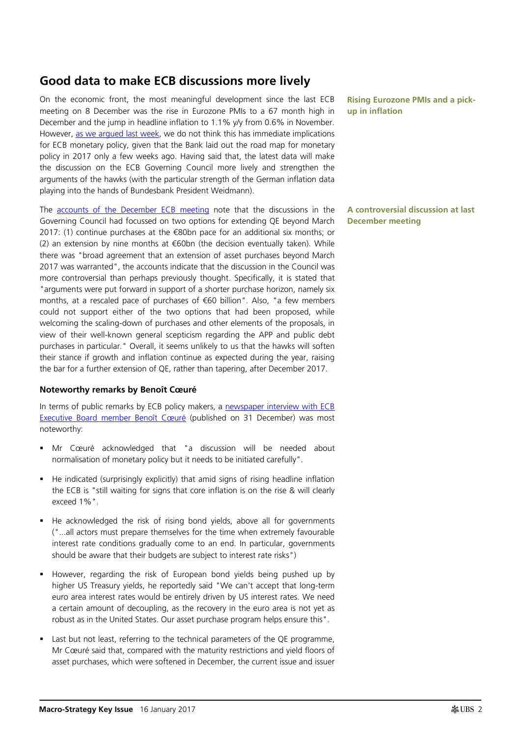# **Good data to make ECB discussions more lively**

On the economic front, the most meaningful development since the last ECB meeting on 8 December was the rise in Eurozone PMIs to a 67 month high in December and the jump in headline inflation to 1.1% y/y from 0.6% in November. However, [as we argued last week,](https://neo.ubs.com/shared/d1ZKQjG3dEvH1) we do not think this has immediate implications for ECB monetary policy, given that the Bank laid out the road map for monetary policy in 2017 only a few weeks ago. Having said that, the latest data will make the discussion on the ECB Governing Council more lively and strengthen the arguments of the hawks (with the particular strength of the German inflation data playing into the hands of Bundesbank President Weidmann).

The [accounts of the December ECB meeting](https://www.ecb.europa.eu/press/accounts/2017/html/mg170112.en.html) note that the discussions in the Governing Council had focussed on two options for extending QE beyond March 2017: (1) continue purchases at the €80bn pace for an additional six months; or (2) an extension by nine months at €60bn (the decision eventually taken). While there was "broad agreement that an extension of asset purchases beyond March 2017 was warranted", the accounts indicate that the discussion in the Council was more controversial than perhaps previously thought. Specifically, it is stated that "arguments were put forward in support of a shorter purchase horizon, namely six months, at a rescaled pace of purchases of €60 billion". Also, "a few members could not support either of the two options that had been proposed, while welcoming the scaling-down of purchases and other elements of the proposals, in view of their well-known general scepticism regarding the APP and public debt purchases in particular." Overall, it seems unlikely to us that the hawks will soften their stance if growth and inflation continue as expected during the year, raising the bar for a further extension of QE, rather than tapering, after December 2017.

## **Noteworthy remarks by Benoît Cœuré**

In terms of public remarks by ECB policy makers, a newspaper interview with ECB [Executive Board member Benoît Cœuré](https://www.ecb.europa.eu/press/inter/date/2016/html/sp161231.en.html) (published on 31 December) was most noteworthy:

- Mr Cœuré acknowledged that "a discussion will be needed about normalisation of monetary policy but it needs to be initiated carefully".
- He indicated (surprisingly explicitly) that amid signs of rising headline inflation the ECB is "still waiting for signs that core inflation is on the rise & will clearly exceed 1%".
- He acknowledged the risk of rising bond yields, above all for governments ("...all actors must prepare themselves for the time when extremely favourable interest rate conditions gradually come to an end. In particular, governments should be aware that their budgets are subject to interest rate risks")
- However, regarding the risk of European bond yields being pushed up by higher US Treasury yields, he reportedly said "We can't accept that long-term euro area interest rates would be entirely driven by US interest rates. We need a certain amount of decoupling, as the recovery in the euro area is not yet as robust as in the United States. Our asset purchase program helps ensure this".
- Last but not least, referring to the technical parameters of the QE programme, Mr Cœuré said that, compared with the maturity restrictions and yield floors of asset purchases, which were softened in December, the current issue and issuer

**Rising Eurozone PMIs and a pickup in inflation**

**A controversial discussion at last December meeting**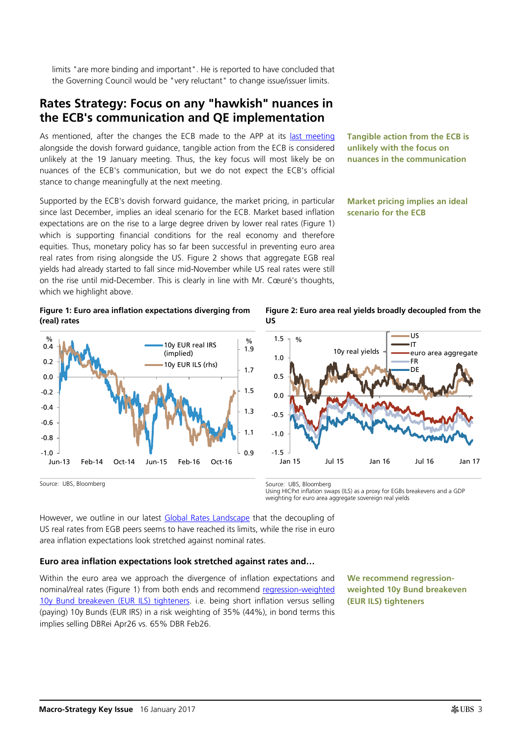limits "are more binding and important". He is reported to have concluded that the Governing Council would be "very reluctant" to change issue/issuer limits.

## **Rates Strategy: Focus on any "hawkish" nuances in the ECB's communication and QE implementation**

As mentioned, after the changes the ECB made to the APP at its [last meeting](https://neo.ubs.com/shared/d1MczrZqSlLlEv) alongside the dovish forward guidance, tangible action from the ECB is considered unlikely at the 19 January meeting. Thus, the key focus will most likely be on nuances of the ECB's communication, but we do not expect the ECB's official stance to change meaningfully at the next meeting.

Supported by the ECB's dovish forward guidance, the market pricing, in particular since last December, implies an ideal scenario for the ECB. Market based inflation expectations are on the rise to a large degree driven by lower real rates [\(Figure 1\)](#page-2-0) which is supporting financial conditions for the real economy and therefore equities. Thus, monetary policy has so far been successful in preventing euro area real rates from rising alongside the US. [Figure 2](#page-2-1) shows that aggregate EGB real yields had already started to fall since mid-November while US real rates were still on the rise until mid-December. This is clearly in line with Mr. Cœuré's thoughts, which we highlight above.

**Tangible action from the ECB is unlikely with the focus on nuances in the communication**

**Market pricing implies an ideal scenario for the ECB**

#### <span id="page-2-0"></span>**Figure 1: Euro area inflation expectations diverging from (real) rates**



<span id="page-2-1"></span>**Figure 2: Euro area real yields broadly decoupled from the US**



Using HICPxt inflation swaps (ILS) as a proxy for EGBs breakevens and a GDP weighting for euro area aggregate sovereign real yields

However, we outline in our latest **Global Rates Landscape** that the decoupling of US real rates from EGB peers seems to have reached its limits, while the rise in euro area inflation expectations look stretched against nominal rates.

## **Euro area inflation expectations look stretched against rates and…**

Within the euro area we approach the divergence of inflation expectations and nominal/real rates [\(Figure 1\)](#page-2-0) from both ends and recommend [regression-weighted](https://neo.ubs.com/shared/d14yqAHaqGpsOO)  [10y Bund breakeven \(EUR ILS\) tighteners.](https://neo.ubs.com/shared/d14yqAHaqGpsOO) i.e. being short inflation versus selling (paying) 10y Bunds (EUR IRS) in a risk weighting of 35% (44%), in bond terms this implies selling DBRei Apr26 vs. 65% DBR Feb26.

**We recommend regressionweighted 10y Bund breakeven (EUR ILS) tighteners**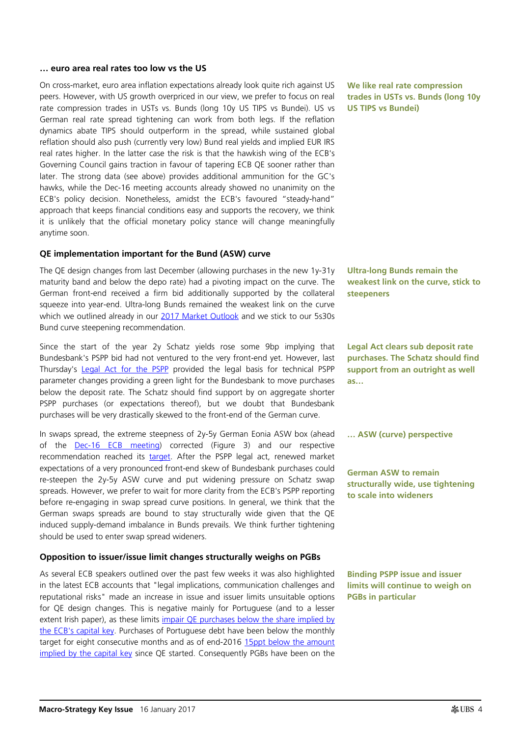#### **… euro area real rates too low vs the US**

On cross-market, euro area inflation expectations already look quite rich against US peers. However, with US growth overpriced in our view, we prefer to focus on real rate compression trades in USTs vs. Bunds (long 10y US TIPS vs Bundei). US vs German real rate spread tightening can work from both legs. If the reflation dynamics abate TIPS should outperform in the spread, while sustained global reflation should also push (currently very low) Bund real yields and implied EUR IRS real rates higher. In the latter case the risk is that the hawkish wing of the ECB's Governing Council gains traction in favour of tapering ECB QE sooner rather than later. The strong data (see above) provides additional ammunition for the GC's hawks, while the Dec-16 meeting accounts already showed no unanimity on the ECB's policy decision. Nonetheless, amidst the ECB's favoured "steady-hand" approach that keeps financial conditions easy and supports the recovery, we think it is unlikely that the official monetary policy stance will change meaningfully anytime soon.

#### **QE implementation important for the Bund (ASW) curve**

The QE design changes from last December (allowing purchases in the new 1y-31y maturity band and below the depo rate) had a pivoting impact on the curve. The German front-end received a firm bid additionally supported by the collateral squeeze into year-end. Ultra-long Bunds remained the weakest link on the curve which we outlined already in our [2017 Market Outlook](https://neo.ubs.com/shared/d1gbGh3jlb8vg) and we stick to our 5s30s Bund curve steepening recommendation.

Since the start of the year 2y Schatz yields rose some 9bp implying that Bundesbank's PSPP bid had not ventured to the very front-end yet. However, last Thursday's [Legal Act for the PSPP](http://www.ecb.europa.eu/ecb/legal/pdf/en_ecb_2017_1_f_signed.pdf) provided the legal basis for technical PSPP parameter changes providing a green light for the Bundesbank to move purchases below the deposit rate. The Schatz should find support by on aggregate shorter PSPP purchases (or expectations thereof), but we doubt that Bundesbank purchases will be very drastically skewed to the front-end of the German curve.

In swaps spread, the extreme steepness of 2y-5y German Eonia ASW box (ahead of the [Dec-16 ECB meeting\)](https://neo.ubs.com/shared/d1pbvdkAwH2BR) corrected [\(Figure 3\)](#page-4-0) and our respective recommendation reached its [target.](https://neo.ubs.com/shared/d1U8JKOnMT) After the PSPP legal act, renewed market expectations of a very pronounced front-end skew of Bundesbank purchases could re-steepen the 2y-5y ASW curve and put widening pressure on Schatz swap spreads. However, we prefer to wait for more clarity from the ECB's PSPP reporting before re-engaging in swap spread curve positions. In general, we think that the German swaps spreads are bound to stay structurally wide given that the QE induced supply-demand imbalance in Bunds prevails. We think further tightening should be used to enter swap spread wideners.

## **Opposition to issuer/issue limit changes structurally weighs on PGBs**

As several ECB speakers outlined over the past few weeks it was also highlighted in the latest ECB accounts that "legal implications, communication challenges and reputational risks" made an increase in issue and issuer limits unsuitable options for QE design changes. This is negative mainly for Portuguese (and to a lesser extent Irish paper), as these limits impair QE purchases below the share implied by [the ECB's capital key.](https://neo.ubs.com/shared/d1S2zm6zSnE1) Purchases of Portuguese debt have been below the monthly target for eight consecutive months and as of end-2016 15ppt below the amount [implied by the capital key](https://neo.ubs.com/shared/d1sJDMpkNZwd) since QE started. Consequently PGBs have been on the

**We like real rate compression trades in USTs vs. Bunds (long 10y US TIPS vs Bundei)**

**Ultra-long Bunds remain the weakest link on the curve, stick to steepeners**

**Legal Act clears sub deposit rate purchases. The Schatz should find support from an outright as well as…** 

**… ASW (curve) perspective**

**German ASW to remain structurally wide, use tightening to scale into wideners**

**Binding PSPP issue and issuer limits will continue to weigh on PGBs in particular**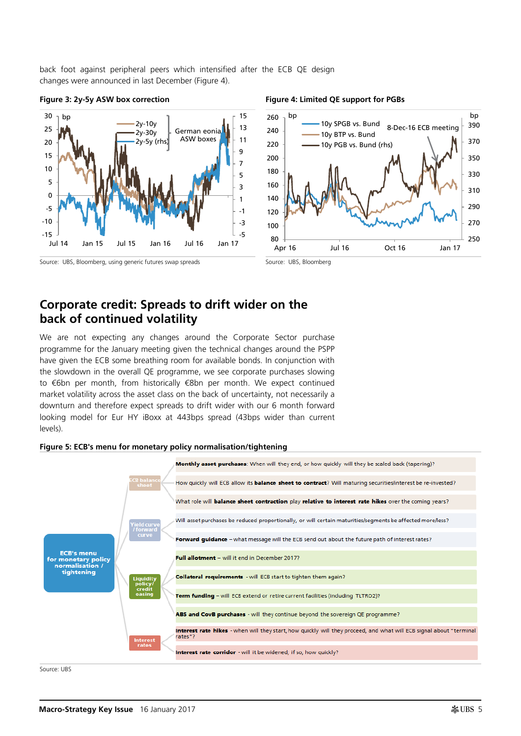back foot against peripheral peers which intensified after the ECB QE design changes were announced in last December [\(Figure 4\)](#page-4-1).



#### <span id="page-4-0"></span>Figure 3: 2y-5y ASW box correction **Figure 4: Limited QE support for PGBs**

## Source: UBS, Bloomberg, using generic futures swap spreads Source: UBS, Bloomberg

<span id="page-4-1"></span>

# **Corporate credit: Spreads to drift wider on the back of continued volatility**

We are not expecting any changes around the Corporate Sector purchase programme for the January meeting given the technical changes around the PSPP have given the ECB some breathing room for available bonds. In conjunction with the slowdown in the overall QE programme, we see corporate purchases slowing to €6bn per month, from historically €8bn per month. We expect continued market volatility across the asset class on the back of uncertainty, not necessarily a downturn and therefore expect spreads to drift wider with our 6 month forward looking model for Eur HY iBoxx at 443bps spread (43bps wider than current levels).



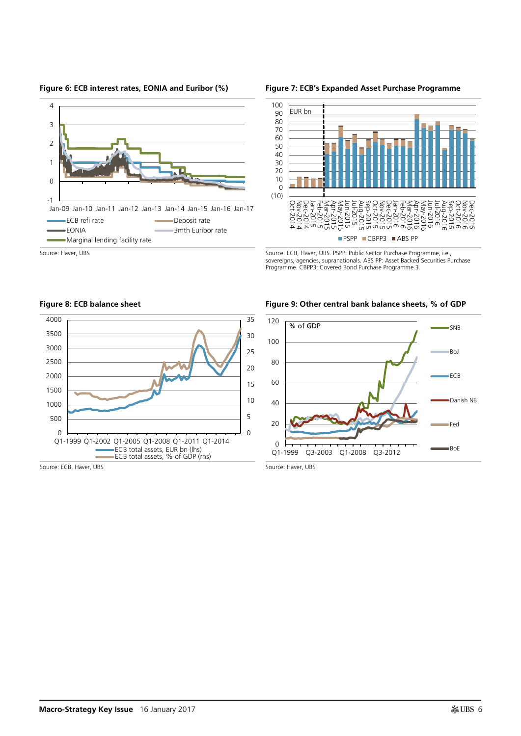

#### **Figure 6: ECB interest rates, EONIA and Euribor (%) Figure 7: ECB's Expanded Asset Purchase Programme**



sovereigns, agencies, supranationals. ABS PP: Asset Backed Securities Purchase Programme. CBPP3: Covered Bond Purchase Programme 3.

**Figure 8: ECB balance sheet Figure 9: Other central bank balance sheets, % of GDP**



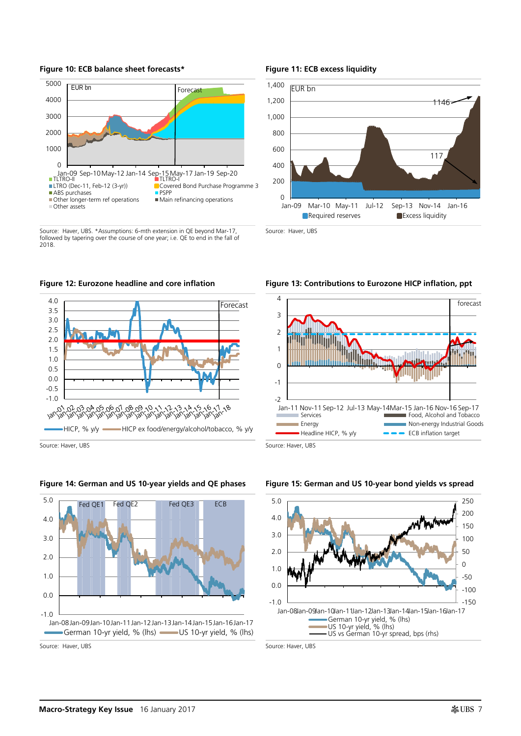

Source: Haver, UBS. \*Assumptions: 6-mth extension in QE beyond Mar-17, followed by tapering over the course of one year; i.e. QE to end in the fall of 2018.





Source: Haver, UBS Source: Haver, UBS





#### **Figure 10: ECB balance sheet forecasts\* Figure 11: ECB excess liquidity**



Source: Haver, UBS







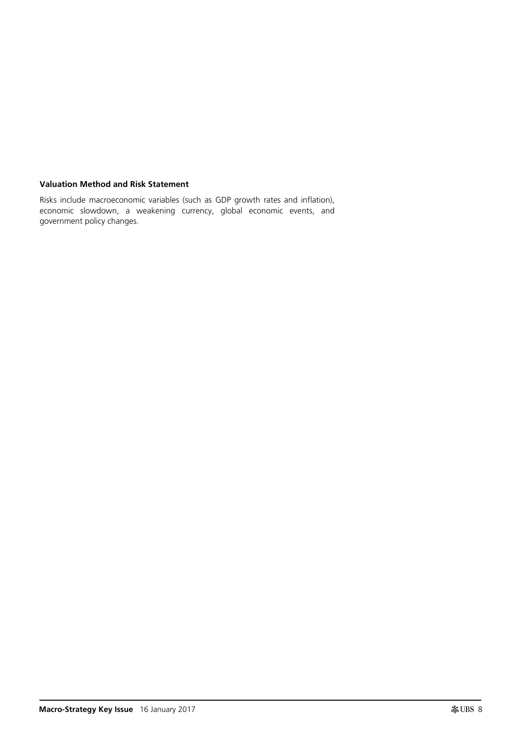## **Valuation Method and Risk Statement**

Risks include macroeconomic variables (such as GDP growth rates and inflation), economic slowdown, a weakening currency, global economic events, and government policy changes.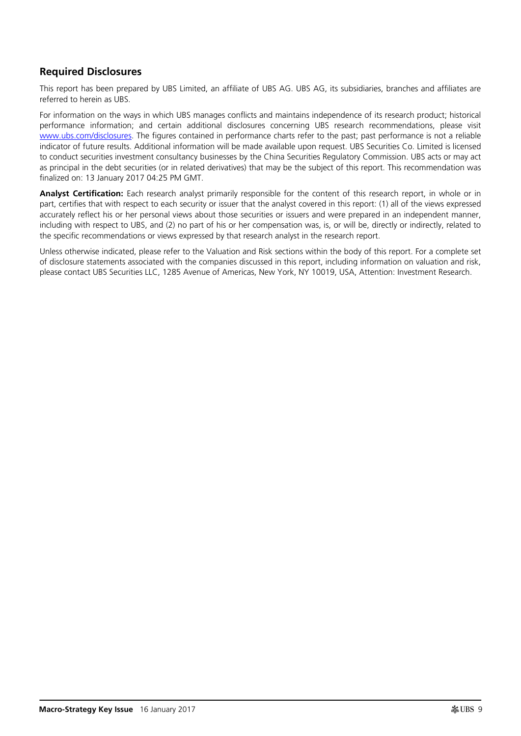## **Required Disclosures**

This report has been prepared by UBS Limited, an affiliate of UBS AG. UBS AG, its subsidiaries, branches and affiliates are referred to herein as UBS.

For information on the ways in which UBS manages conflicts and maintains independence of its research product; historical performance information; and certain additional disclosures concerning UBS research recommendations, please visit [www.ubs.com/disclosures.](http://www.ubs.com/disclosures) The figures contained in performance charts refer to the past; past performance is not a reliable indicator of future results. Additional information will be made available upon request. UBS Securities Co. Limited is licensed to conduct securities investment consultancy businesses by the China Securities Regulatory Commission. UBS acts or may act as principal in the debt securities (or in related derivatives) that may be the subject of this report. This recommendation was finalized on: 13 January 2017 04:25 PM GMT.

**Analyst Certification:** Each research analyst primarily responsible for the content of this research report, in whole or in part, certifies that with respect to each security or issuer that the analyst covered in this report: (1) all of the views expressed accurately reflect his or her personal views about those securities or issuers and were prepared in an independent manner, including with respect to UBS, and (2) no part of his or her compensation was, is, or will be, directly or indirectly, related to the specific recommendations or views expressed by that research analyst in the research report.

Unless otherwise indicated, please refer to the Valuation and Risk sections within the body of this report. For a complete set of disclosure statements associated with the companies discussed in this report, including information on valuation and risk, please contact UBS Securities LLC, 1285 Avenue of Americas, New York, NY 10019, USA, Attention: Investment Research.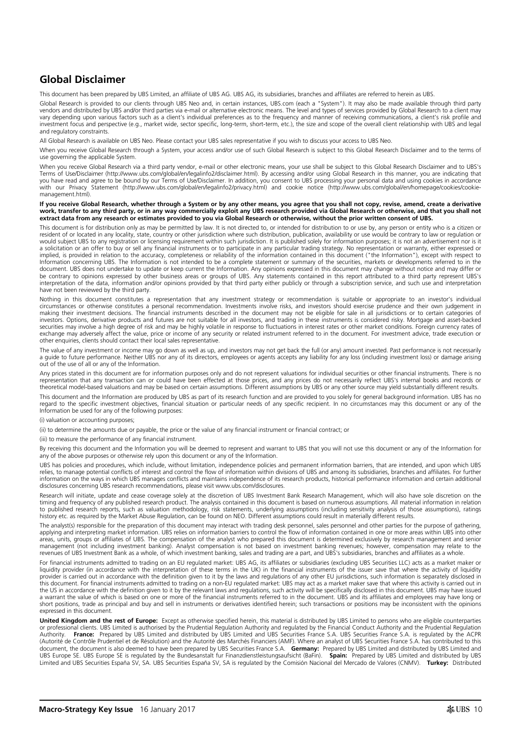## **Global Disclaimer**

This document has been prepared by UBS Limited, an affiliate of UBS AG. UBS AG, its subsidiaries, branches and affiliates are referred to herein as UBS.

Global Research is provided to our clients through UBS Neo and, in certain instances, UBS.com (each a "System"). It may also be made available through third party vendors and distributed by UBS and/or third parties via e-mail or alternative electronic means. The level and types of services provided by Global Research to a client may vary depending upon various factors such as a client's individual preferences as to the frequency and manner of receiving communications, a client's risk profile and investment focus and perspective (e.g., market wide, sector specific, long-term, short-term, etc.), the size and scope of the overall client relationship with UBS and legal and regulatory constraints.

All Global Research is available on UBS Neo. Please contact your UBS sales representative if you wish to discuss your access to UBS Neo.

When you receive Global Research through a System, your access and/or use of such Global Research is subject to this Global Research Disclaimer and to the terms of use governing the applicable System.

When you receive Global Research via a third party vendor, e-mail or other electronic means, your use shall be subject to this Global Research Disclaimer and to UBS's Terms of Use/Disclaimer (http://www.ubs.com/global/en/legalinfo2/disclaimer.html). By accessing and/or using Global Research in this manner, you are indicating that you have read and agree to be bound by our Terms of Use/Disclaimer. In addition, you consent to UBS processing your personal data and using cookies in accordance<br>with our Privacy Statement (http://www.ubs.com/global/en/leg management.html).

#### **If you receive Global Research, whether through a System or by any other means, you agree that you shall not copy, revise, amend, create a derivative work, transfer to any third party, or in any way commercially exploit any UBS research provided via Global Research or otherwise, and that you shall not extract data from any research or estimates provided to you via Global Research or otherwise, without the prior written consent of UBS.**

This document is for distribution only as may be permitted by law. It is not directed to, or intended for distribution to or use by, any person or entity who is a citizen or resident of or located in any locality, state, country or other jurisdiction where such distribution, publication, availability or use would be contrary to law or regulation or would subject UBS to any registration or licensing requirement within such jurisdiction. It is published solely for information purposes; it is not an advertisement nor is it<br>a solicitation or an offer to buy or sell any f implied, is provided in relation to the accuracy, completeness or reliability of the information contained in this document ("the Information"), except with respect to Information concerning UBS. The Information is not intended to be a complete statement or summary of the securities, markets or developments referred to in the document. UBS does not undertake to update or keep current the Information. Any opinions expressed in this document may change without notice and may differ or be contrary to opinions expressed by other business areas or groups of UBS. Any statements contained in this report attributed to a third party represent UBS's<br>interpretation of the data, information and/or opinions provid have not been reviewed by the third party.

Nothing in this document constitutes a representation that any investment strategy or recommendation is suitable or appropriate to an investor's individual circumstances or otherwise constitutes a personal recommendation. Investments involve risks, and investors should exercise prudence and their own judgement in making their investment decisions. The financial instruments described in the document may not be eligible for sale in all jurisdictions or to certain categories of investors. Options, derivative products and futures are not suitable for all investors, and trading in these instruments is considered risky. Mortgage and asset-backed<br>securities may involve a high degree of risk and may b exchange may adversely affect the value, price or income of any security or related instrument referred to in the document. For investment advice, trade execution or other enquiries, clients should contact their local sales representative.

The value of any investment or income may go down as well as up, and investors may not get back the full (or any) amount invested. Past performance is not necessarily a guide to future performance. Neither UBS nor any of its directors, employees or agents accepts any liability for any loss (including investment loss) or damage arising out of the use of all or any of the Information.

Any prices stated in this document are for information purposes only and do not represent valuations for individual securities or other financial instruments. There is no representation that any transaction can or could have been effected at those prices, and any prices do not necessarily reflect UBS's internal books and records or theoretical model-based valuations and may be based on certain assumptions. Different assumptions by UBS or any other source may yield substantially different results.

This document and the Information are produced by UBS as part of its research function and are provided to you solely for general background information. UBS has no regard to the specific investment objectives, financial situation or particular needs of any specific recipient. In no circumstances may this document or any of the Information be used for any of the following purposes:

(i) valuation or accounting purposes;

(ii) to determine the amounts due or payable, the price or the value of any financial instrument or financial contract; or

(iii) to measure the performance of any financial instrument.

By receiving this document and the Information you will be deemed to represent and warrant to UBS that you will not use this document or any of the Information for any of the above purposes or otherwise rely upon this document or any of the Information.

UBS has policies and procedures, which include, without limitation, independence policies and permanent information barriers, that are intended, and upon which UBS relies, to manage potential conflicts of interest and control the flow of information within divisions of UBS and among its subsidiaries, branches and affiliates. For further<br>information on the ways in which UBS manages co disclosures concerning UBS research recommendations, please visit www.ubs.com/disclosures.

Research will initiate, update and cease coverage solely at the discretion of UBS Investment Bank Research Management, which will also have sole discretion on the timing and frequency of any published research product. The analysis contained in this document is based on numerous assumptions. All material information in relation to published research reports, such as valuation methodology, risk statements, underlying assumptions (including sensitivity analysis of those assumptions), ratings history etc. as required by the Market Abuse Regulation, can be found on NEO. Different assumptions could result in materially different results.

The analyst(s) responsible for the preparation of this document may interact with trading desk personnel, sales personnel and other parties for the purpose of gathering. applying and interpreting market information. UBS relies on information barriers to control the flow of information contained in one or more areas within UBS into other areas, units, groups or affiliates of UBS. The compensation of the analyst who prepared this document is determined exclusively by research management and senior management (not including investment banking). Analyst compensation is not based on investment banking revenues; however, compensation may relate to the<br>revenues of UBS Investment Bank as a whole, of which investment banki

For financial instruments admitted to trading on an EU regulated market: UBS AG, its affiliates or subsidiaries (excluding UBS Securities LLC) acts as a market maker or<br>liquidity provider (in accordance with the interpreta provider is carried out in accordance with the definition given to it by the laws and regulations of any other EU jurisdictions, such information is separately disclosed in this document. For financial instruments admitted to trading on a non-EU regulated market: UBS may act as a market maker save that where this activity is carried out in the US in accordance with the definition given to it by the relevant laws and regulations, such activity will be specifically disclosed in this document. UBS may have issued a warrant the value of which is based on one or more of the financial instruments referred to in the document. UBS and its affiliates and employees may have long or<br>short positions, trade as principal and buy and sell in i expressed in this document.

**United Kingdom and the rest of Europe:** Except as otherwise specified herein, this material is distributed by UBS Limited to persons who are eligible counterparties or professional clients. UBS Limited is authorised by the Prudential Regulation Authority and regulated by the Financial Conduct Authority and the Prudential Regulation Authority. P**rance:** Prepared by UBS Limited and distributed by UBS Limited and UBS Securities France S.A. is and is an alabed by the ACPR<br>(Autorité de Contrôle Prudentiel et de Résolution) and the Autorité des Marchés Fin document, the document is also deemed to have been prepared by UBS Securities France S.A. **Germany:** Prepared by UBS Limited and distributed by UBS Limited and UBS Europe SE. UBS Europe SE is regulated by the Bundesanstalt fur Finanzdienstleistungsaufsicht (BaFin). **Spain:** Prepared by UBS Limited and distributed by UBS Limited and UBS Securities España SV, SA. UBS Securities España SV, SA is regulated by the Comisión Nacional del Mercado de Valores (CNMV). **Turkey:** Distributed